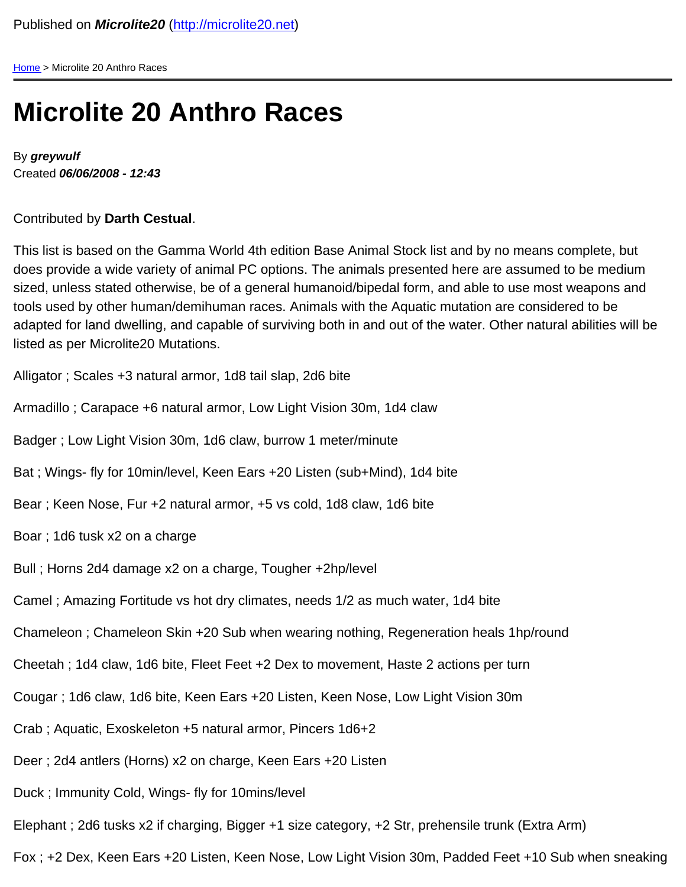[Home](/) > Microlite 20 Anthro Races

## Microlite 20 Anthro Races

By greywulf Created 06/06/2008 - 12:43

Contributed by Darth Cestual .

This list is based on the Gamma World 4th edition Base Animal Stock list and by no means complete, but does provide a wide variety of animal PC options. The animals presented here are assumed to be medium sized, unless stated otherwise, be of a general humanoid/bipedal form, and able to use most weapons and tools used by other human/demihuman races. Animals with the Aquatic mutation are considered to be adapted for land dwelling, and capable of surviving both in and out of the water. Other natural abilities will be listed as per Microlite20 Mutations.

Alligator ; Scales +3 natural armor, 1d8 tail slap, 2d6 bite

Armadillo ; Carapace +6 natural armor, Low Light Vision 30m, 1d4 claw

Badger ; Low Light Vision 30m, 1d6 claw, burrow 1 meter/minute

Bat ; Wings- fly for 10min/level, Keen Ears +20 Listen (sub+Mind), 1d4 bite

Bear ; Keen Nose, Fur +2 natural armor, +5 vs cold, 1d8 claw, 1d6 bite

Boar ; 1d6 tusk x2 on a charge

Bull ; Horns 2d4 damage x2 on a charge, Tougher +2hp/level

Camel ; Amazing Fortitude vs hot dry climates, needs 1/2 as much water, 1d4 bite

Chameleon ; Chameleon Skin +20 Sub when wearing nothing, Regeneration heals 1hp/round

Cheetah ; 1d4 claw, 1d6 bite, Fleet Feet +2 Dex to movement, Haste 2 actions per turn

Cougar ; 1d6 claw, 1d6 bite, Keen Ears +20 Listen, Keen Nose, Low Light Vision 30m

Crab ; Aquatic, Exoskeleton +5 natural armor, Pincers 1d6+2

Deer ; 2d4 antlers (Horns) x2 on charge, Keen Ears +20 Listen

Duck ; Immunity Cold, Wings- fly for 10mins/level

Elephant ; 2d6 tusks x2 if charging, Bigger +1 size category, +2 Str, prehensile trunk (Extra Arm)

Fox ; +2 Dex, Keen Ears +20 Listen, Keen Nose, Low Light Vision 30m, Padded Feet +10 Sub when sneaking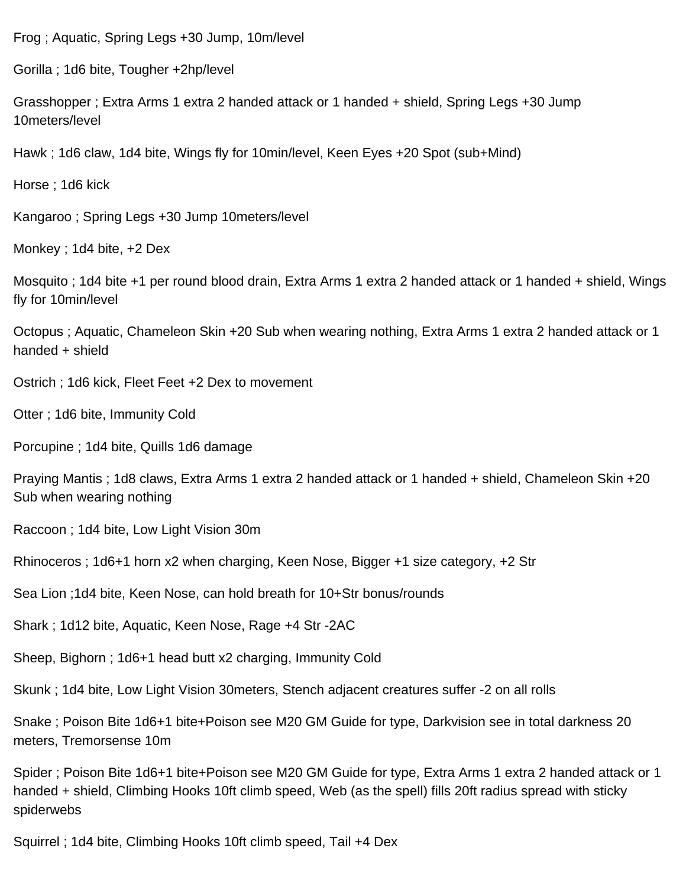Frog ; Aquatic, Spring Legs +30 Jump, 10m/level

Gorilla ; 1d6 bite, Tougher +2hp/level

Grasshopper ; Extra Arms 1 extra 2 handed attack or 1 handed + shield, Spring Legs +30 Jump 10meters/level

Hawk ; 1d6 claw, 1d4 bite, Wings fly for 10min/level, Keen Eyes +20 Spot (sub+Mind)

Horse ; 1d6 kick

Kangaroo ; Spring Legs +30 Jump 10meters/level

Monkey ; 1d4 bite, +2 Dex

Mosquito ; 1d4 bite +1 per round blood drain, Extra Arms 1 extra 2 handed attack or 1 handed + shield, Wings fly for 10min/level

Octopus ; Aquatic, Chameleon Skin +20 Sub when wearing nothing, Extra Arms 1 extra 2 handed attack or 1 handed + shield

Ostrich ; 1d6 kick, Fleet Feet +2 Dex to movement

Otter ; 1d6 bite, Immunity Cold

Porcupine ; 1d4 bite, Quills 1d6 damage

Praying Mantis ; 1d8 claws, Extra Arms 1 extra 2 handed attack or 1 handed + shield, Chameleon Skin +20 Sub when wearing nothing

Raccoon ; 1d4 bite, Low Light Vision 30m

Rhinoceros ; 1d6+1 horn x2 when charging, Keen Nose, Bigger +1 size category, +2 Str

Sea Lion ;1d4 bite, Keen Nose, can hold breath for 10+Str bonus/rounds

Shark ; 1d12 bite, Aquatic, Keen Nose, Rage +4 Str -2AC

Sheep, Bighorn ; 1d6+1 head butt x2 charging, Immunity Cold

Skunk ; 1d4 bite, Low Light Vision 30meters, Stench adjacent creatures suffer -2 on all rolls

Snake ; Poison Bite 1d6+1 bite+Poison see M20 GM Guide for type, Darkvision see in total darkness 20 meters, Tremorsense 10m

Spider ; Poison Bite 1d6+1 bite+Poison see M20 GM Guide for type, Extra Arms 1 extra 2 handed attack or 1 handed + shield, Climbing Hooks 10ft climb speed, Web (as the spell) fills 20ft radius spread with sticky spiderwebs

Squirrel ; 1d4 bite, Climbing Hooks 10ft climb speed, Tail +4 Dex